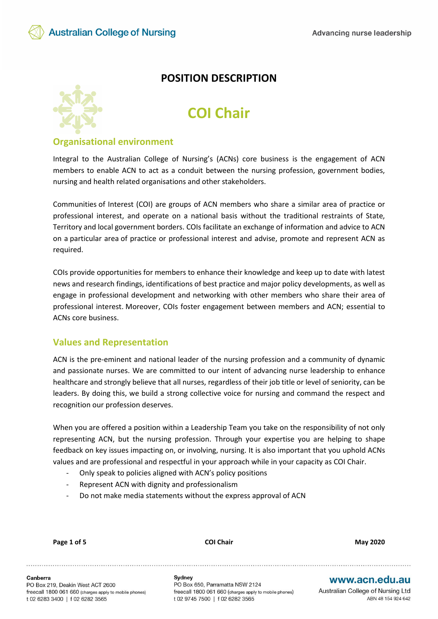

# **POSITION DESCRIPTION**

# **COI Chair**

#### **Organisational environment**

Integral to the Australian College of Nursing's (ACNs) core business is the engagement of ACN members to enable ACN to act as a conduit between the nursing profession, government bodies, nursing and health related organisations and other stakeholders.

Communities of Interest (COI) are groups of ACN members who share a similar area of practice or professional interest, and operate on a national basis without the traditional restraints of State, Territory and local government borders. COIs facilitate an exchange of information and advice to ACN on a particular area of practice or professional interest and advise, promote and represent ACN as required.

COIs provide opportunities for members to enhance their knowledge and keep up to date with latest news and research findings, identifications of best practice and major policy developments, as well as engage in professional development and networking with other members who share their area of professional interest. Moreover, COIs foster engagement between members and ACN; essential to ACNs core business.

#### **Values and Representation**

ACN is the pre-eminent and national leader of the nursing profession and a community of dynamic and passionate nurses. We are committed to our intent of advancing nurse leadership to enhance healthcare and strongly believe that all nurses, regardless of their job title or level of seniority, can be leaders. By doing this, we build a strong collective voice for nursing and command the respect and recognition our profession deserves.

When you are offered a position within a Leadership Team you take on the responsibility of not only representing ACN, but the nursing profession. Through your expertise you are helping to shape feedback on key issues impacting on, or involving, nursing. It is also important that you uphold ACNs values and are professional and respectful in your approach while in your capacity as COI Chair.

- Only speak to policies aligned with ACN's policy positions
- Represent ACN with dignity and professionalism
- Do not make media statements without the express approval of ACN

| <b>May 2020</b> |  |
|-----------------|--|
|                 |  |

**Page 1 of 5 COI Chair May 2020**

Canberra PO Box 219, Deakin West ACT 2600 freecall 1800 061 660 (charges apply to mobile phones) t 02 6283 3400 | f 02 6282 3565

Svdnev PO Box 650, Parramatta NSW 2124 freecall 1800 061 660 (charges apply to mobile phones) t 02 9745 7500 | f 02 6282 3565

## www.acn.edu.au

Australian College of Nursing Ltd ABN 48 154 924 642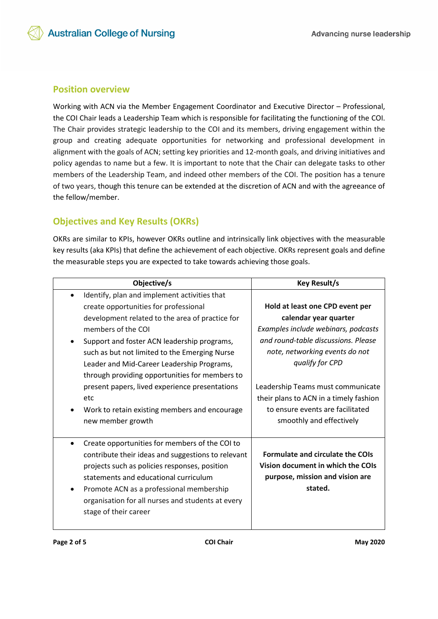## **Position overview**

Working with ACN via the Member Engagement Coordinator and Executive Director – Professional, the COI Chair leads a Leadership Team which is responsible for facilitating the functioning of the COI. The Chair provides strategic leadership to the COI and its members, driving engagement within the group and creating adequate opportunities for networking and professional development in alignment with the goals of ACN; setting key priorities and 12-month goals, and driving initiatives and policy agendas to name but a few. It is important to note that the Chair can delegate tasks to other members of the Leadership Team, and indeed other members of the COI. The position has a tenure of two years, though this tenure can be extended at the discretion of ACN and with the agreeance of the fellow/member.

# **Objectives and Key Results (OKRs)**

OKRs are similar to KPIs, however OKRs outline and intrinsically link objectives with the measurable key results (aka KPIs) that define the achievement of each objective. OKRs represent goals and define the measurable steps you are expected to take towards achieving those goals.

| Objective/s                                                                                                                                                                                                                                                                                                              | <b>Key Result/s</b>                                                                                                                                      |
|--------------------------------------------------------------------------------------------------------------------------------------------------------------------------------------------------------------------------------------------------------------------------------------------------------------------------|----------------------------------------------------------------------------------------------------------------------------------------------------------|
| Identify, plan and implement activities that<br>$\bullet$<br>create opportunities for professional                                                                                                                                                                                                                       | Hold at least one CPD event per                                                                                                                          |
| development related to the area of practice for<br>members of the COL<br>Support and foster ACN leadership programs,<br>such as but not limited to the Emerging Nurse<br>Leader and Mid-Career Leadership Programs,                                                                                                      | calendar year quarter<br>Examples include webinars, podcasts<br>and round-table discussions. Please<br>note, networking events do not<br>qualify for CPD |
| present papers, lived experience presentations<br>etc<br>Work to retain existing members and encourage<br>new member growth                                                                                                                                                                                              | Leadership Teams must communicate<br>their plans to ACN in a timely fashion<br>to ensure events are facilitated<br>smoothly and effectively              |
| Create opportunities for members of the COI to<br>contribute their ideas and suggestions to relevant<br>projects such as policies responses, position<br>statements and educational curriculum<br>Promote ACN as a professional membership<br>organisation for all nurses and students at every<br>stage of their career | <b>Formulate and circulate the COIs</b><br>Vision document in which the COIs<br>purpose, mission and vision are<br>stated.                               |
| through providing opportunities for members to                                                                                                                                                                                                                                                                           |                                                                                                                                                          |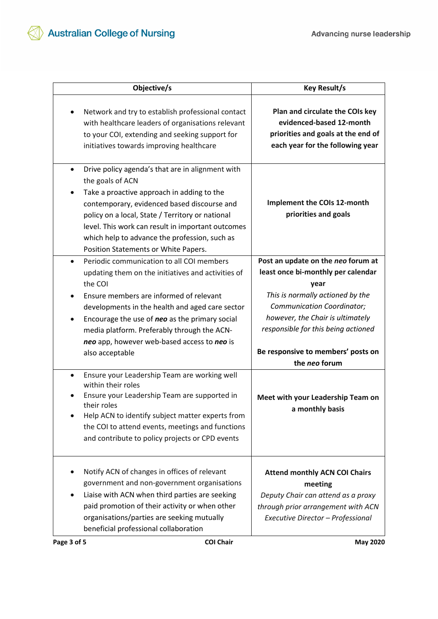| Objective/s                                                                                                                                                                                                                                                                                                                                                                      | <b>Key Result/s</b>                                                                                                                                              |
|----------------------------------------------------------------------------------------------------------------------------------------------------------------------------------------------------------------------------------------------------------------------------------------------------------------------------------------------------------------------------------|------------------------------------------------------------------------------------------------------------------------------------------------------------------|
| Network and try to establish professional contact<br>٠<br>with healthcare leaders of organisations relevant<br>to your COI, extending and seeking support for<br>initiatives towards improving healthcare                                                                                                                                                                        | Plan and circulate the COIs key<br>evidenced-based 12-month<br>priorities and goals at the end of<br>each year for the following year                            |
| Drive policy agenda's that are in alignment with<br>$\bullet$<br>the goals of ACN<br>Take a proactive approach in adding to the<br>contemporary, evidenced based discourse and<br>policy on a local, State / Territory or national<br>level. This work can result in important outcomes<br>which help to advance the profession, such as<br>Position Statements or White Papers. | Implement the COIs 12-month<br>priorities and goals                                                                                                              |
| Periodic communication to all COI members<br>$\bullet$<br>updating them on the initiatives and activities of<br>the COI                                                                                                                                                                                                                                                          | Post an update on the neo forum at<br>least once bi-monthly per calendar<br>year                                                                                 |
| Ensure members are informed of relevant<br>$\bullet$<br>developments in the health and aged care sector<br>Encourage the use of neo as the primary social<br>$\bullet$<br>media platform. Preferably through the ACN-<br>neo app, however web-based access to neo is                                                                                                             | This is normally actioned by the<br>Communication Coordinator;<br>however, the Chair is ultimately<br>responsible for this being actioned                        |
| also acceptable                                                                                                                                                                                                                                                                                                                                                                  | Be responsive to members' posts on<br>the neo forum                                                                                                              |
| Ensure your Leadership Team are working well<br>$\bullet$<br>within their roles<br>Ensure your Leadership Team are supported in<br>their roles<br>Help ACN to identify subject matter experts from<br>the COI to attend events, meetings and functions<br>and contribute to policy projects or CPD events                                                                        | Meet with your Leadership Team on<br>a monthly basis                                                                                                             |
| Notify ACN of changes in offices of relevant<br>government and non-government organisations<br>Liaise with ACN when third parties are seeking<br>paid promotion of their activity or when other<br>organisations/parties are seeking mutually<br>beneficial professional collaboration                                                                                           | <b>Attend monthly ACN COI Chairs</b><br>meeting<br>Deputy Chair can attend as a proxy<br>through prior arrangement with ACN<br>Executive Director - Professional |
| Page 3 of 5<br><b>COI Chair</b>                                                                                                                                                                                                                                                                                                                                                  | <b>May 2020</b>                                                                                                                                                  |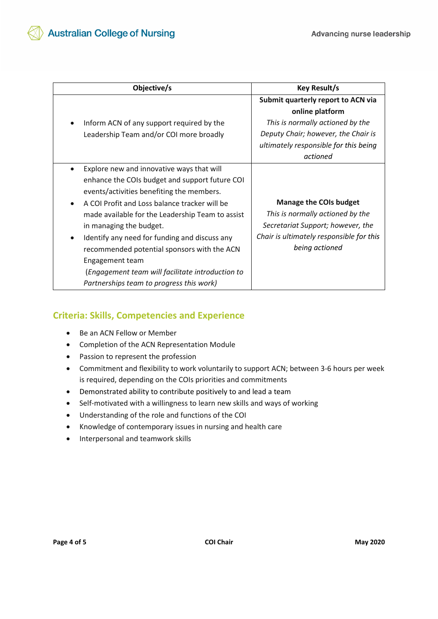| Objective/s                                                                                                                                                                                                                                                                                                                                                                                                                                                                                 | <b>Key Result/s</b>                                                                                                                                                                   |
|---------------------------------------------------------------------------------------------------------------------------------------------------------------------------------------------------------------------------------------------------------------------------------------------------------------------------------------------------------------------------------------------------------------------------------------------------------------------------------------------|---------------------------------------------------------------------------------------------------------------------------------------------------------------------------------------|
| Inform ACN of any support required by the<br>$\bullet$<br>Leadership Team and/or COI more broadly                                                                                                                                                                                                                                                                                                                                                                                           | Submit quarterly report to ACN via<br>online platform<br>This is normally actioned by the<br>Deputy Chair; however, the Chair is<br>ultimately responsible for this being<br>actioned |
| Explore new and innovative ways that will<br>enhance the COIs budget and support future COI<br>events/activities benefiting the members.<br>A COI Profit and Loss balance tracker will be<br>made available for the Leadership Team to assist<br>in managing the budget.<br>Identify any need for funding and discuss any<br>recommended potential sponsors with the ACN<br>Engagement team<br>(Engagement team will facilitate introduction to<br>Partnerships team to progress this work) | <b>Manage the COIs budget</b><br>This is normally actioned by the<br>Secretariat Support; however, the<br>Chair is ultimately responsible for this<br>being actioned                  |

# **Criteria: Skills, Competencies and Experience**

- Be an ACN Fellow or Member
- Completion of the ACN Representation Module
- Passion to represent the profession
- Commitment and flexibility to work voluntarily to support ACN; between 3-6 hours per week is required, depending on the COIs priorities and commitments
- Demonstrated ability to contribute positively to and lead a team
- Self-motivated with a willingness to learn new skills and ways of working
- Understanding of the role and functions of the COI
- Knowledge of contemporary issues in nursing and health care
- Interpersonal and teamwork skills